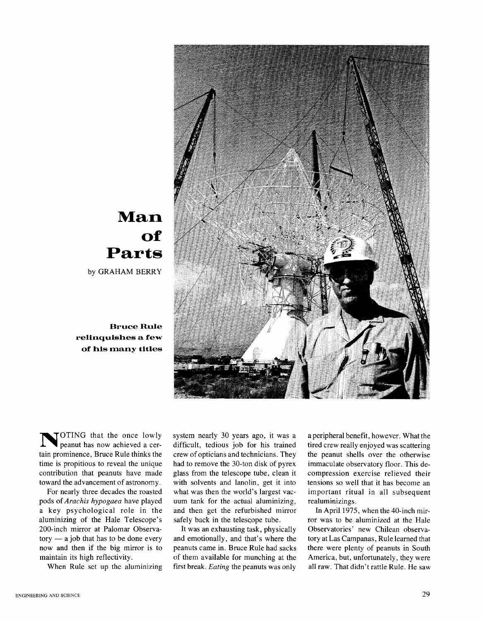

## **Man of Parts**

by GRAHAM BERRY

**Bruce Rule relinquishes a few of his many titles** 

**N** OTING that the once lowly peanut has now achieved a certain prominence, Bruce Rule thinks the time is propitious to reveal the unique contribution that peanuts have made toward the advancement of astronomy.

For nearly three decades the roasted pods of *Arachis hypogaea* have played a key psychological role in the aluminizing of the Hale Telescope's 200-inch mirror at Palomar Observa $tory - a$  job that has to be done every now and then if the big mirror is to maintain its high reflectivity.

When Rule set up the aluminizing

system nearly 30 years ago, it was a difficult, tedious job for his trained crew of opticians and technicians. They had to remove the 30-ton disk of pyrex glass from the telescope tube, clean it with solvents and lanolin, get it into what was then the world's largest vacuum tank for the actual aluminizing, and then get the refurbished mirror safely back in the telescope tube.

It was an exhausting task, physically and emotionally, and that's where the peanuts came in. Bruce Rule had sacks of them available for munching at the first break. *Eating* the peanuts was only

aperipheral benefit, however. What the tired crew really enjoyed was scattering the peanut shells over the otherwise immaculate observatory floor. This decompression exercise relieved their tensions so well that it has become an important ritual in all subsequent realuminizings .

In April 1975, when the 40-inch mirror was to be aluminized at the Hale Observatories' new Chilean observatory at Las Campanas, Rule learned that there were plenty of peanuts in South America, but, unfortunately, they were all raw. That didn't rattle Rule. He saw